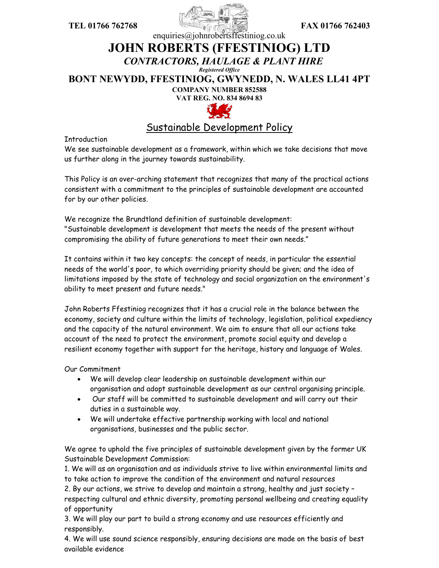



## enquiries@johnrobertsffestiniog.co.uk **JOHN ROBERTS (FFESTINIOG) LTD** *CONTRACTORS, HAULAGE & PLANT HIRE Registered Office* **BONT NEWYDD, FFESTINIOG, GWYNEDD, N. WALES LL41 4PT COMPANY NUMBER 852588 VAT REG. NO. 834 8694 83**



## Sustainable Development Policy

**Introduction** 

We see sustainable development as a framework, within which we take decisions that move us further along in the journey towards sustainability.

This Policy is an over-arching statement that recognizes that many of the practical actions consistent with a commitment to the principles of sustainable development are accounted for by our other policies.

We recognize the Brundtland definition of sustainable development: "Sustainable development is development that meets the needs of the present without compromising the ability of future generations to meet their own needs."

It contains within it two key concepts: the concept of needs, in particular the essential needs of the world's poor, to which overriding priority should be given; and the idea of limitations imposed by the state of technology and social organization on the environment's ability to meet present and future needs."

John Roberts Ffestiniog recognizes that it has a crucial role in the balance between the economy, society and culture within the limits of technology, legislation, political expediency and the capacity of the natural environment. We aim to ensure that all our actions take account of the need to protect the environment, promote social equity and develop a resilient economy together with support for the heritage, history and language of Wales.

Our Commitment

- We will develop clear leadership on sustainable development within our organisation and adopt sustainable development as our central organising principle.
- Our staff will be committed to sustainable development and will carry out their duties in a sustainable way.
- We will undertake effective partnership working with local and national organisations, businesses and the public sector.

We agree to uphold the five principles of sustainable development given by the former UK Sustainable Development Commission:

1. We will as an organisation and as individuals strive to live within environmental limits and to take action to improve the condition of the environment and natural resources

2. By our actions, we strive to develop and maintain a strong, healthy and just society – respecting cultural and ethnic diversity, promoting personal wellbeing and creating equality of opportunity

3. We will play our part to build a strong economy and use resources efficiently and responsibly.

4. We will use sound science responsibly, ensuring decisions are made on the basis of best available evidence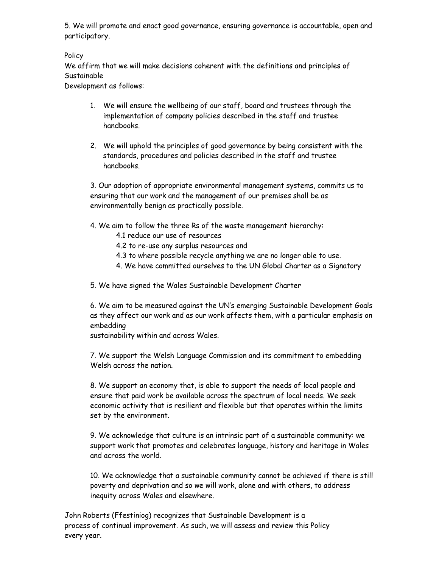5. We will promote and enact good governance, ensuring governance is accountable, open and participatory.

Policy

We affirm that we will make decisions coherent with the definitions and principles of Sustainable

Development as follows:

- 1. We will ensure the wellbeing of our staff, board and trustees through the implementation of company policies described in the staff and trustee handbooks.
- 2. We will uphold the principles of good governance by being consistent with the standards, procedures and policies described in the staff and trustee handbooks.

3. Our adoption of appropriate environmental management systems, commits us to ensuring that our work and the management of our premises shall be as environmentally benign as practically possible.

- 4. We aim to follow the three Rs of the waste management hierarchy:
	- 4.1 reduce our use of resources
	- 4.2 to re-use any surplus resources and
	- 4.3 to where possible recycle anything we are no longer able to use.
	- 4. We have committed ourselves to the UN Global Charter as a Signatory

5. We have signed the Wales Sustainable Development Charter

6. We aim to be measured against the UN's emerging Sustainable Development Goals as they affect our work and as our work affects them, with a particular emphasis on embedding

sustainability within and across Wales.

7. We support the Welsh Language Commission and its commitment to embedding Welsh across the nation.

8. We support an economy that, is able to support the needs of local people and ensure that paid work be available across the spectrum of local needs. We seek economic activity that is resilient and flexible but that operates within the limits set by the environment.

9. We acknowledge that culture is an intrinsic part of a sustainable community: we support work that promotes and celebrates language, history and heritage in Wales and across the world.

10. We acknowledge that a sustainable community cannot be achieved if there is still poverty and deprivation and so we will work, alone and with others, to address inequity across Wales and elsewhere.

John Roberts (Ffestiniog) recognizes that Sustainable Development is a process of continual improvement. As such, we will assess and review this Policy every year.